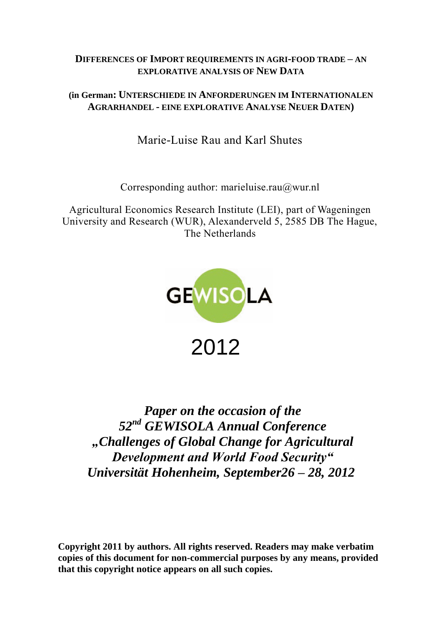# **DIFFERENCES OF IMPORT REQUIREMENTS IN AGRI-FOOD TRADE – AN EXPLORATIVE ANALYSIS OF NEW DATA**

# **(in German: UNTERSCHIEDE IN ANFORDERUNGEN IM INTERNATIONALEN AGRARHANDEL - EINE EXPLORATIVE ANALYSE NEUER DATEN)**

Marie-Luise Rau and Karl Shutes

Corresponding author: marieluise.rau@wur.nl

Agricultural Economics Research Institute (LEI), part of Wageningen University and Research (WUR), Alexanderveld 5, 2585 DB The Hague, The Netherlands



*Paper on the occasion of the 52nd GEWISOLA Annual Conference "Challenges of Global Change for Agricultural Development and World Food Security" Universität Hohenheim, September26 – 28, 2012*

**Copyright 2011 by authors. All rights reserved. Readers may make verbatim copies of this document for non-commercial purposes by any means, provided that this copyright notice appears on all such copies.**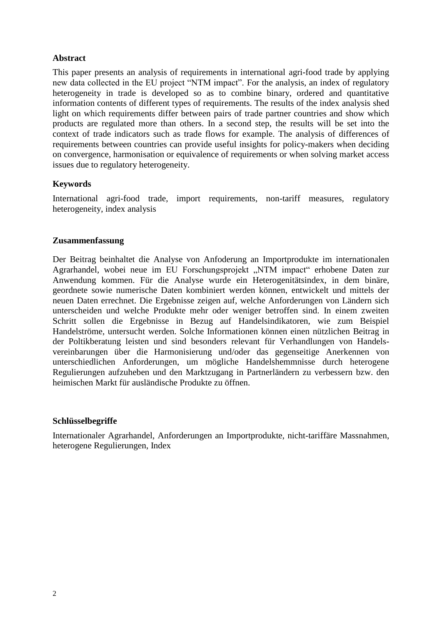## **Abstract**

This paper presents an analysis of requirements in international agri-food trade by applying new data collected in the EU project "NTM impact". For the analysis, an index of regulatory heterogeneity in trade is developed so as to combine binary, ordered and quantitative information contents of different types of requirements. The results of the index analysis shed light on which requirements differ between pairs of trade partner countries and show which products are regulated more than others. In a second step, the results will be set into the context of trade indicators such as trade flows for example. The analysis of differences of requirements between countries can provide useful insights for policy-makers when deciding on convergence, harmonisation or equivalence of requirements or when solving market access issues due to regulatory heterogeneity.

### **Keywords**

International agri-food trade, import requirements, non-tariff measures, regulatory heterogeneity, index analysis

#### **Zusammenfassung**

Der Beitrag beinhaltet die Analyse von Anfoderung an Importprodukte im internationalen Agrarhandel, wobei neue im EU Forschungsprojekt "NTM impact" erhobene Daten zur Anwendung kommen. Für die Analyse wurde ein Heterogenitätsindex, in dem binäre, geordnete sowie numerische Daten kombiniert werden können, entwickelt und mittels der neuen Daten errechnet. Die Ergebnisse zeigen auf, welche Anforderungen von Ländern sich unterscheiden und welche Produkte mehr oder weniger betroffen sind. In einem zweiten Schritt sollen die Ergebnisse in Bezug auf Handelsindikatoren, wie zum Beispiel Handelströme, untersucht werden. Solche Informationen können einen nützlichen Beitrag in der Poltikberatung leisten und sind besonders relevant für Verhandlungen von Handelsvereinbarungen über die Harmonisierung und/oder das gegenseitige Anerkennen von unterschiedlichen Anforderungen, um mögliche Handelshemmnisse durch heterogene Regulierungen aufzuheben und den Marktzugang in Partnerländern zu verbessern bzw. den heimischen Markt für ausländische Produkte zu öffnen.

#### **Schlüsselbegriffe**

Internationaler Agrarhandel, Anforderungen an Importprodukte, nicht-tariffäre Massnahmen, heterogene Regulierungen, Index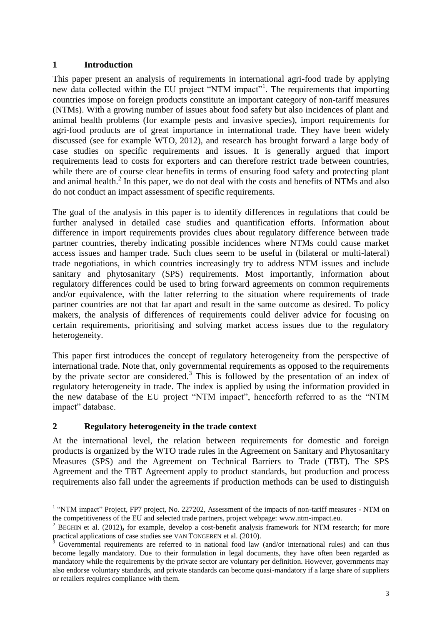## **1 Introduction**

This paper present an analysis of requirements in international agri-food trade by applying new data collected within the EU project "NTM impact"<sup>1</sup>. The requirements that importing countries impose on foreign products constitute an important category of non-tariff measures (NTMs). With a growing number of issues about food safety but also incidences of plant and animal health problems (for example pests and invasive species), import requirements for agri-food products are of great importance in international trade. They have been widely discussed (see for example WTO, 2012), and research has brought forward a large body of case studies on specific requirements and issues. It is generally argued that import requirements lead to costs for exporters and can therefore restrict trade between countries, while there are of course clear benefits in terms of ensuring food safety and protecting plant and animal health. 2 In this paper, we do not deal with the costs and benefits of NTMs and also do not conduct an impact assessment of specific requirements.

The goal of the analysis in this paper is to identify differences in regulations that could be further analysed in detailed case studies and quantification efforts. Information about difference in import requirements provides clues about regulatory difference between trade partner countries, thereby indicating possible incidences where NTMs could cause market access issues and hamper trade. Such clues seem to be useful in (bilateral or multi-lateral) trade negotiations, in which countries increasingly try to address NTM issues and include sanitary and phytosanitary (SPS) requirements. Most importantly, information about regulatory differences could be used to bring forward agreements on common requirements and/or equivalence, with the latter referring to the situation where requirements of trade partner countries are not that far apart and result in the same outcome as desired. To policy makers, the analysis of differences of requirements could deliver advice for focusing on certain requirements, prioritising and solving market access issues due to the regulatory heterogeneity.

This paper first introduces the concept of regulatory heterogeneity from the perspective of international trade. Note that, only governmental requirements as opposed to the requirements by the private sector are considered.<sup>3</sup> This is followed by the presentation of an index of regulatory heterogeneity in trade. The index is applied by using the information provided in the new database of the EU project "NTM impact", henceforth referred to as the "NTM impact" database.

## **2 Regulatory heterogeneity in the trade context**

At the international level, the relation between requirements for domestic and foreign products is organized by the WTO trade rules in the Agreement on Sanitary and Phytosanitary Measures (SPS) and the Agreement on Technical Barriers to Trade (TBT). The SPS Agreement and the TBT Agreement apply to product standards, but production and process requirements also fall under the agreements if production methods can be used to distinguish

 $\overline{a}$ <sup>1</sup> "NTM impact" Project, FP7 project, No. 227202, Assessment of the impacts of non-tariff measures - NTM on the competitiveness of the EU and selected trade partners, project webpage: [www.ntm-impact.eu.](http://www.ntm-impact.eu/)

<sup>&</sup>lt;sup>2</sup> BEGHIN et al. (2012), for example, develop a cost-benefit analysis framework for NTM research; for more practical applications of case studies see VAN TONGEREN et al. (2010).

<sup>3</sup> Governmental requirements are referred to in national food law (and/or international rules) and can thus become legally mandatory. Due to their formulation in legal documents, they have often been regarded as mandatory while the requirements by the private sector are voluntary per definition. However, governments may also endorse voluntary standards, and private standards can become quasi-mandatory if a large share of suppliers or retailers requires compliance with them.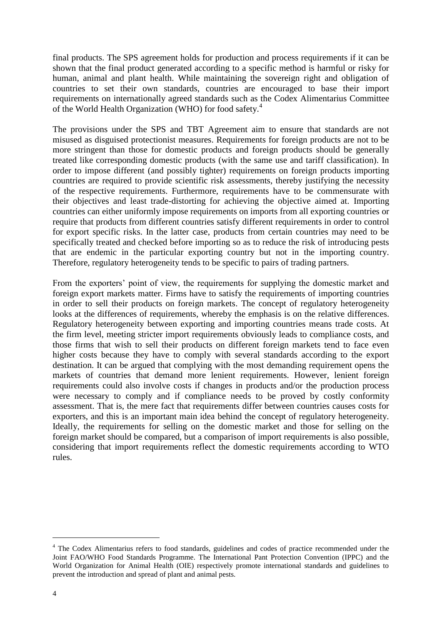final products. The SPS agreement holds for production and process requirements if it can be shown that the final product generated according to a specific method is harmful or risky for human, animal and plant health. While maintaining the sovereign right and obligation of countries to set their own standards, countries are encouraged to base their import requirements on internationally agreed standards such as the Codex Alimentarius Committee of the World Health Organization (WHO) for food safety.<sup>4</sup>

The provisions under the SPS and TBT Agreement aim to ensure that standards are not misused as disguised protectionist measures. Requirements for foreign products are not to be more stringent than those for domestic products and foreign products should be generally treated like corresponding domestic products (with the same use and tariff classification). In order to impose different (and possibly tighter) requirements on foreign products importing countries are required to provide scientific risk assessments, thereby justifying the necessity of the respective requirements. Furthermore, requirements have to be commensurate with their objectives and least trade-distorting for achieving the objective aimed at. Importing countries can either uniformly impose requirements on imports from all exporting countries or require that products from different countries satisfy different requirements in order to control for export specific risks. In the latter case, products from certain countries may need to be specifically treated and checked before importing so as to reduce the risk of introducing pests that are endemic in the particular exporting country but not in the importing country. Therefore, regulatory heterogeneity tends to be specific to pairs of trading partners.

From the exporters' point of view, the requirements for supplying the domestic market and foreign export markets matter. Firms have to satisfy the requirements of importing countries in order to sell their products on foreign markets. The concept of regulatory heterogeneity looks at the differences of requirements, whereby the emphasis is on the relative differences. Regulatory heterogeneity between exporting and importing countries means trade costs. At the firm level, meeting stricter import requirements obviously leads to compliance costs, and those firms that wish to sell their products on different foreign markets tend to face even higher costs because they have to comply with several standards according to the export destination. It can be argued that complying with the most demanding requirement opens the markets of countries that demand more lenient requirements. However, lenient foreign requirements could also involve costs if changes in products and/or the production process were necessary to comply and if compliance needs to be proved by costly conformity assessment. That is, the mere fact that requirements differ between countries causes costs for exporters, and this is an important main idea behind the concept of regulatory heterogeneity. Ideally, the requirements for selling on the domestic market and those for selling on the foreign market should be compared, but a comparison of import requirements is also possible, considering that import requirements reflect the domestic requirements according to WTO rules.

 $\overline{a}$ 

<sup>&</sup>lt;sup>4</sup> The Codex Alimentarius refers to food standards, guidelines and codes of practice recommended under the Joint FAO/WHO Food Standards Programme. The International Pant Protection Convention (IPPC) and the World Organization for Animal Health (OIE) respectively promote international standards and guidelines to prevent the introduction and spread of plant and animal pests.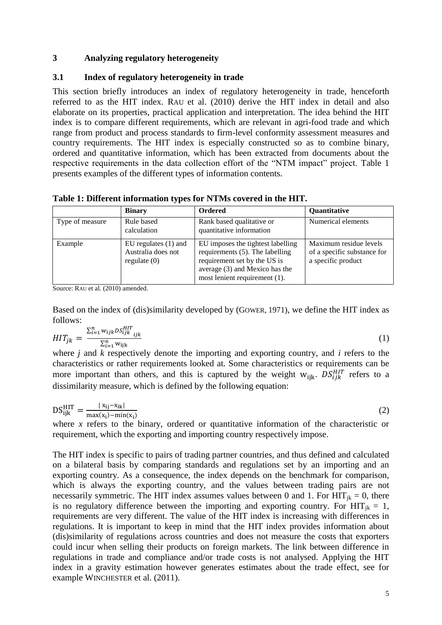## **3 Analyzing regulatory heterogeneity**

## **3.1 Index of regulatory heterogeneity in trade**

This section briefly introduces an index of regulatory heterogeneity in trade, henceforth referred to as the HIT index. RAU et al. (2010) derive the HIT index in detail and also elaborate on its properties, practical application and interpretation. The idea behind the HIT index is to compare different requirements, which are relevant in agri-food trade and which range from product and process standards to firm-level conformity assessment measures and country requirements. The HIT index is especially constructed so as to combine binary, ordered and quantitative information, which has been extracted from documents about the respective requirements in the data collection effort of the "NTM impact" project. Table 1 presents examples of the different types of information contents.

**Table 1: Different information types for NTMs covered in the HIT.**

|                 | <b>Binary</b>                                                  | Ordered                                                                                                                                                                 | Quantitative                                                                |
|-----------------|----------------------------------------------------------------|-------------------------------------------------------------------------------------------------------------------------------------------------------------------------|-----------------------------------------------------------------------------|
| Type of measure | Rule based<br>calculation                                      | Rank based qualitative or<br>quantitative information                                                                                                                   | Numerical elements                                                          |
| Example         | EU regulates $(1)$ and<br>Australia does not<br>regulate $(0)$ | EU imposes the tightest labelling<br>requirements (5). The labelling<br>requirement set by the US is<br>average (3) and Mexico has the<br>most lenient requirement (1). | Maximum residue levels<br>of a specific substance for<br>a specific product |

Source: RAU et al. (2010) amended.

Based on the index of (dis)similarity developed by (GOWER, 1971), we define the HIT index as follows:

$$
HIT_{jk} = \frac{\sum_{i=1}^{n} w_{ijk} D S_{ijk}^{HIT}}{\sum_{i=1}^{n} w_{ijk}}
$$
(1)

where *j* and *k* respectively denote the importing and exporting country, and *i* refers to the characteristics or rather requirements looked at. Some characteristics or requirements can be more important than others, and this is captured by the weight  $w_{iik}$ .  $DS_{ijk}^{HIT}$  refers to a dissimilarity measure, which is defined by the following equation:

$$
DS_{ijk}^{HIT} = \frac{|x_{ij} - x_{ik}|}{\max(x_i) - \min(x_i)}
$$
 (2)

where *x* refers to the binary, ordered or quantitative information of the characteristic or requirement, which the exporting and importing country respectively impose.

The HIT index is specific to pairs of trading partner countries, and thus defined and calculated on a bilateral basis by comparing standards and regulations set by an importing and an exporting country. As a consequence, the index depends on the benchmark for comparison, which is always the exporting country, and the values between trading pairs are not necessarily symmetric. The HIT index assumes values between 0 and 1. For  $HIT_{ik} = 0$ , there is no regulatory difference between the importing and exporting country. For  $HIT_{ik} = 1$ , requirements are very different. The value of the HIT index is increasing with differences in regulations. It is important to keep in mind that the HIT index provides information about (dis)similarity of regulations across countries and does not measure the costs that exporters could incur when selling their products on foreign markets. The link between difference in regulations in trade and compliance and/or trade costs is not analysed. Applying the HIT index in a gravity estimation however generates estimates about the trade effect, see for example WINCHESTER et al. (2011).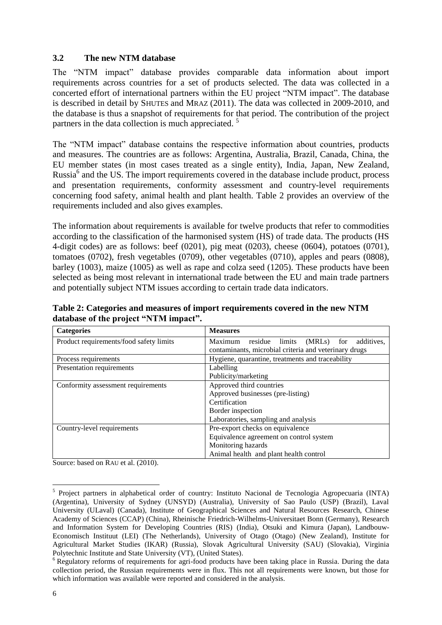### **3.2 The new NTM database**

The "NTM impact" database provides comparable data information about import requirements across countries for a set of products selected. The data was collected in a concerted effort of international partners within the EU project "NTM impact". The database is described in detail by SHUTES and MRAZ (2011). The data was collected in 2009-2010, and the database is thus a snapshot of requirements for that period. The contribution of the project partners in the data collection is much appreciated.<sup>5</sup>

The "NTM impact" database contains the respective information about countries, products and measures. The countries are as follows: Argentina, Australia, Brazil, Canada, China, the EU member states (in most cases treated as a single entity), India, Japan, New Zealand, Russia<sup>6</sup> and the US. The import requirements covered in the database include product, process and presentation requirements, conformity assessment and country-level requirements concerning food safety, animal health and plant health. Table 2 provides an overview of the requirements included and also gives examples.

The information about requirements is available for twelve products that refer to commodities according to the classification of the harmonised system (HS) of trade data. The products (HS 4-digit codes) are as follows: beef (0201), pig meat (0203), cheese (0604), potatoes (0701), tomatoes (0702), fresh vegetables (0709), other vegetables (0710), apples and pears (0808), barley (1003), maize (1005) as well as rape and colza seed (1205). These products have been selected as being most relevant in international trade between the EU and main trade partners and potentially subject NTM issues according to certain trade data indicators.

**Table 2: Categories and measures of import requirements covered in the new NTM database of the project "NTM impact".**

| <b>Categories</b>                       | <b>Measures</b>                                            |  |  |
|-----------------------------------------|------------------------------------------------------------|--|--|
| Product requirements/food safety limits | Maximum<br>residue<br>limits<br>$(MRLs)$ for<br>additives. |  |  |
|                                         | contaminants, microbial criteria and veterinary drugs      |  |  |
| Process requirements                    | Hygiene, quarantine, treatments and traceability           |  |  |
| Presentation requirements               | Labelling                                                  |  |  |
|                                         | Publicity/marketing                                        |  |  |
| Conformity assessment requirements      | Approved third countries                                   |  |  |
|                                         | Approved businesses (pre-listing)                          |  |  |
|                                         | Certification                                              |  |  |
|                                         | Border inspection                                          |  |  |
|                                         | Laboratories, sampling and analysis                        |  |  |
| Country-level requirements              | Pre-export checks on equivalence                           |  |  |
|                                         | Equivalence agreement on control system                    |  |  |
|                                         | Monitoring hazards                                         |  |  |
|                                         | Animal health and plant health control                     |  |  |

Source: based on RAU et al. (2010).

 $\overline{a}$ 

<sup>&</sup>lt;sup>5</sup> Project partners in alphabetical order of country: Instituto Nacional de Tecnologia Agropecuaria (INTA) (Argentina), University of Sydney (UNSYD) (Australia), University of Sao Paulo (USP) (Brazil), Laval University (ULaval) (Canada), Institute of Geographical Sciences and Natural Resources Research, Chinese Academy of Sciences (CCAP) (China), Rheinische Friedrich-Wilhelms-Universitaet Bonn (Germany), Research and Information System for Developing Countries (RIS) (India), Otsuki and Kimura (Japan), Landbouw-Economisch Instituut (LEI) (The Netherlands), University of Otago (Otago) (New Zealand), Institute for Agricultural Market Studies (IKAR) (Russia), Slovak Agricultural University (SAU) (Slovakia), Virginia Polytechnic Institute and State University (VT), (United States).

<sup>&</sup>lt;sup>6</sup> Regulatory reforms of requirements for agri-food products have been taking place in Russia. During the data collection period, the Russian requirements were in flux. This not all requirements were known, but those for which information was available were reported and considered in the analysis.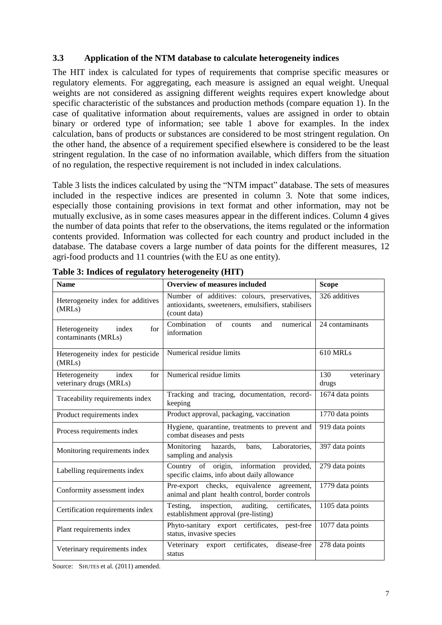## **3.3 Application of the NTM database to calculate heterogeneity indices**

The HIT index is calculated for types of requirements that comprise specific measures or regulatory elements. For aggregating, each measure is assigned an equal weight. Unequal weights are not considered as assigning different weights requires expert knowledge about specific characteristic of the substances and production methods (compare equation 1). In the case of qualitative information about requirements, values are assigned in order to obtain binary or ordered type of information; see table 1 above for examples. In the index calculation, bans of products or substances are considered to be most stringent regulation. On the other hand, the absence of a requirement specified elsewhere is considered to be the least stringent regulation. In the case of no information available, which differs from the situation of no regulation, the respective requirement is not included in index calculations.

Table 3 lists the indices calculated by using the "NTM impact" database. The sets of measures included in the respective indices are presented in column 3. Note that some indices, especially those containing provisions in text format and other information, may not be mutually exclusive, as in some cases measures appear in the different indices. Column 4 gives the number of data points that refer to the observations, the items regulated or the information contents provided. Information was collected for each country and product included in the database. The database covers a large number of data points for the different measures, 12 agri-food products and 11 countries (with the EU as one entity).

| <b>Name</b>                                              | <b>Overview of measures included</b>                                                                               | <b>Scope</b>               |
|----------------------------------------------------------|--------------------------------------------------------------------------------------------------------------------|----------------------------|
| Heterogeneity index for additives<br>(MRLs)              | Number of additives: colours, preservatives,<br>antioxidants, sweeteners, emulsifiers, stabilisers<br>(count data) | 326 additives              |
| for<br>Heterogeneity<br>index<br>contaminants (MRLs)     | Combination<br>of<br>numerical<br>and<br>counts<br>information                                                     | 24 contaminants            |
| Heterogeneity index for pesticide<br>(MRLs)              | Numerical residue limits                                                                                           | 610 MRLs                   |
| Heterogeneity<br>index<br>for<br>veterinary drugs (MRLs) | Numerical residue limits                                                                                           | 130<br>veterinary<br>drugs |
| Traceability requirements index                          | Tracking and tracing, documentation, record-<br>keeping                                                            | 1674 data points           |
| Product requirements index                               | Product approval, packaging, vaccination                                                                           | 1770 data points           |
| Process requirements index                               | Hygiene, quarantine, treatments to prevent and<br>combat diseases and pests                                        | 919 data points            |
| Monitoring requirements index                            | Monitoring<br>hazards,<br>Laboratories,<br>bans,<br>sampling and analysis                                          | 397 data points            |
| Labelling requirements index                             | Country of origin, information provided,<br>specific claims, info about daily allowance                            | 279 data points            |
| Conformity assessment index                              | Pre-export checks, equivalence agreement,<br>animal and plant health control, border controls                      | 1779 data points           |
| Certification requirements index                         | Testing, inspection,<br>auditing,<br>certificates,<br>establishment approval (pre-listing)                         | 1105 data points           |
| Plant requirements index                                 | Phyto-sanitary export certificates, pest-free<br>status, invasive species                                          | 1077 data points           |
| Veterinary requirements index                            | export certificates,<br>Veterinary<br>disease-free<br>status                                                       | 278 data points            |

**Table 3: Indices of regulatory heterogeneity (HIT)**

Source: SHUTES et al. (2011) amended.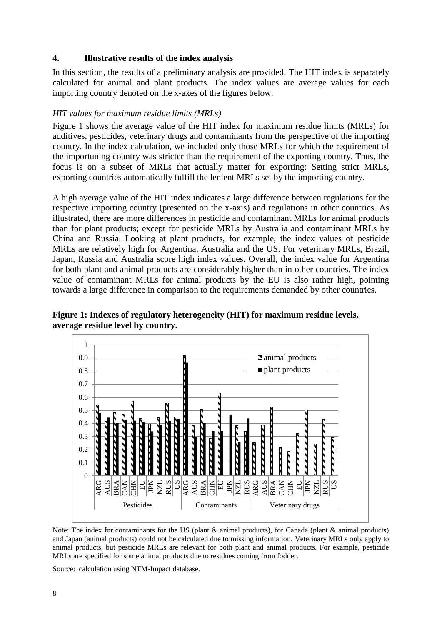## **4. Illustrative results of the index analysis**

In this section, the results of a preliminary analysis are provided. The HIT index is separately calculated for animal and plant products. The index values are average values for each importing country denoted on the x-axes of the figures below.

## *HIT values for maximum residue limits (MRLs)*

Figure 1 shows the average value of the HIT index for maximum residue limits (MRLs) for additives, pesticides, veterinary drugs and contaminants from the perspective of the importing country. In the index calculation, we included only those MRLs for which the requirement of the importuning country was stricter than the requirement of the exporting country. Thus, the focus is on a subset of MRLs that actually matter for exporting: Setting strict MRLs, exporting countries automatically fulfill the lenient MRLs set by the importing country.

A high average value of the HIT index indicates a large difference between regulations for the respective importing country (presented on the x-axis) and regulations in other countries. As illustrated, there are more differences in pesticide and contaminant MRLs for animal products than for plant products; except for pesticide MRLs by Australia and contaminant MRLs by China and Russia. Looking at plant products, for example, the index values of pesticide MRLs are relatively high for Argentina, Australia and the US. For veterinary MRLs, Brazil, Japan, Russia and Australia score high index values. Overall, the index value for Argentina for both plant and animal products are considerably higher than in other countries. The index value of contaminant MRLs for animal products by the EU is also rather high, pointing towards a large difference in comparison to the requirements demanded by other countries.

**Figure 1: Indexes of regulatory heterogeneity (HIT) for maximum residue levels, average residue level by country.**



Note: The index for contaminants for the US (plant & animal products), for Canada (plant & animal products) and Japan (animal products) could not be calculated due to missing information. Veterinary MRLs only apply to animal products, but pesticide MRLs are relevant for both plant and animal products. For example, pesticide MRLs are specified for some animal products due to residues coming from fodder.

Source: calculation using NTM-Impact database.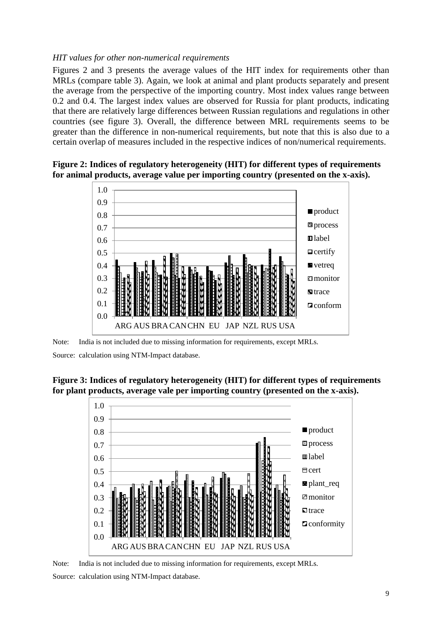## *HIT values for other non-numerical requirements*

Figures 2 and 3 presents the average values of the HIT index for requirements other than MRLs (compare table 3). Again, we look at animal and plant products separately and present the average from the perspective of the importing country. Most index values range between 0.2 and 0.4. The largest index values are observed for Russia for plant products, indicating that there are relatively large differences between Russian regulations and regulations in other countries (see figure 3). Overall, the difference between MRL requirements seems to be greater than the difference in non-numerical requirements, but note that this is also due to a certain overlap of measures included in the respective indices of non/numerical requirements.





Note: India is not included due to missing information for requirements, except MRLs.

Source: calculation using NTM-Impact database.

**Figure 3: Indices of regulatory heterogeneity (HIT) for different types of requirements for plant products, average vale per importing country (presented on the x-axis).**



Note: India is not included due to missing information for requirements, except MRLs.

Source: calculation using NTM-Impact database.